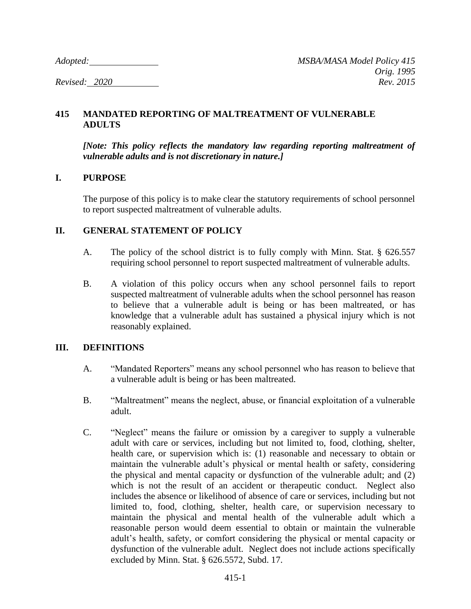## **415 MANDATED REPORTING OF MALTREATMENT OF VULNERABLE ADULTS**

*[Note: This policy reflects the mandatory law regarding reporting maltreatment of vulnerable adults and is not discretionary in nature.]*

## **I. PURPOSE**

The purpose of this policy is to make clear the statutory requirements of school personnel to report suspected maltreatment of vulnerable adults.

## **II. GENERAL STATEMENT OF POLICY**

- A. The policy of the school district is to fully comply with Minn. Stat. § 626.557 requiring school personnel to report suspected maltreatment of vulnerable adults.
- B. A violation of this policy occurs when any school personnel fails to report suspected maltreatment of vulnerable adults when the school personnel has reason to believe that a vulnerable adult is being or has been maltreated, or has knowledge that a vulnerable adult has sustained a physical injury which is not reasonably explained.

## **III. DEFINITIONS**

- A. "Mandated Reporters" means any school personnel who has reason to believe that a vulnerable adult is being or has been maltreated.
- B. "Maltreatment" means the neglect, abuse, or financial exploitation of a vulnerable adult.
- C. "Neglect" means the failure or omission by a caregiver to supply a vulnerable adult with care or services, including but not limited to, food, clothing, shelter, health care, or supervision which is: (1) reasonable and necessary to obtain or maintain the vulnerable adult's physical or mental health or safety, considering the physical and mental capacity or dysfunction of the vulnerable adult; and (2) which is not the result of an accident or therapeutic conduct. Neglect also includes the absence or likelihood of absence of care or services, including but not limited to, food, clothing, shelter, health care, or supervision necessary to maintain the physical and mental health of the vulnerable adult which a reasonable person would deem essential to obtain or maintain the vulnerable adult's health, safety, or comfort considering the physical or mental capacity or dysfunction of the vulnerable adult. Neglect does not include actions specifically excluded by Minn. Stat. § 626.5572, Subd. 17.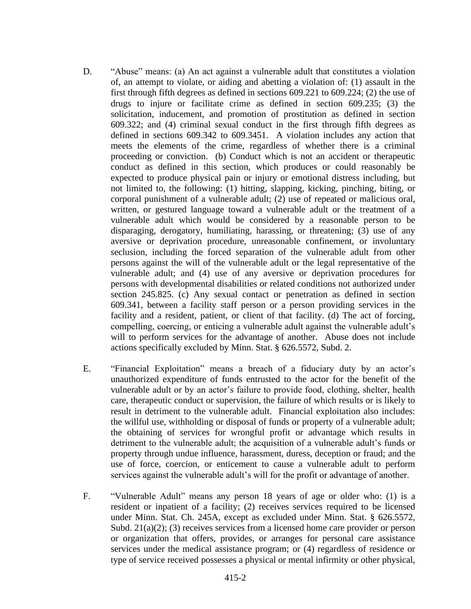- D. "Abuse" means: (a) An act against a vulnerable adult that constitutes a violation of, an attempt to violate, or aiding and abetting a violation of: (1) assault in the first through fifth degrees as defined in sections 609.221 to 609.224; (2) the use of drugs to injure or facilitate crime as defined in section 609.235; (3) the solicitation, inducement, and promotion of prostitution as defined in section 609.322; and (4) criminal sexual conduct in the first through fifth degrees as defined in sections 609.342 to 609.3451. A violation includes any action that meets the elements of the crime, regardless of whether there is a criminal proceeding or conviction. (b) Conduct which is not an accident or therapeutic conduct as defined in this section, which produces or could reasonably be expected to produce physical pain or injury or emotional distress including, but not limited to, the following: (1) hitting, slapping, kicking, pinching, biting, or corporal punishment of a vulnerable adult; (2) use of repeated or malicious oral, written, or gestured language toward a vulnerable adult or the treatment of a vulnerable adult which would be considered by a reasonable person to be disparaging, derogatory, humiliating, harassing, or threatening; (3) use of any aversive or deprivation procedure, unreasonable confinement, or involuntary seclusion, including the forced separation of the vulnerable adult from other persons against the will of the vulnerable adult or the legal representative of the vulnerable adult; and (4) use of any aversive or deprivation procedures for persons with developmental disabilities or related conditions not authorized under section 245.825. (c) Any sexual contact or penetration as defined in section 609.341, between a facility staff person or a person providing services in the facility and a resident, patient, or client of that facility. (d) The act of forcing, compelling, coercing, or enticing a vulnerable adult against the vulnerable adult's will to perform services for the advantage of another. Abuse does not include actions specifically excluded by Minn. Stat. § 626.5572, Subd. 2.
- E. "Financial Exploitation" means a breach of a fiduciary duty by an actor's unauthorized expenditure of funds entrusted to the actor for the benefit of the vulnerable adult or by an actor's failure to provide food, clothing, shelter, health care, therapeutic conduct or supervision, the failure of which results or is likely to result in detriment to the vulnerable adult. Financial exploitation also includes: the willful use, withholding or disposal of funds or property of a vulnerable adult; the obtaining of services for wrongful profit or advantage which results in detriment to the vulnerable adult; the acquisition of a vulnerable adult's funds or property through undue influence, harassment, duress, deception or fraud; and the use of force, coercion, or enticement to cause a vulnerable adult to perform services against the vulnerable adult's will for the profit or advantage of another.
- F. "Vulnerable Adult" means any person 18 years of age or older who: (1) is a resident or inpatient of a facility; (2) receives services required to be licensed under Minn. Stat. Ch. 245A, except as excluded under Minn. Stat. § 626.5572, Subd.  $21(a)(2)$ ; (3) receives services from a licensed home care provider or person or organization that offers, provides, or arranges for personal care assistance services under the medical assistance program; or (4) regardless of residence or type of service received possesses a physical or mental infirmity or other physical,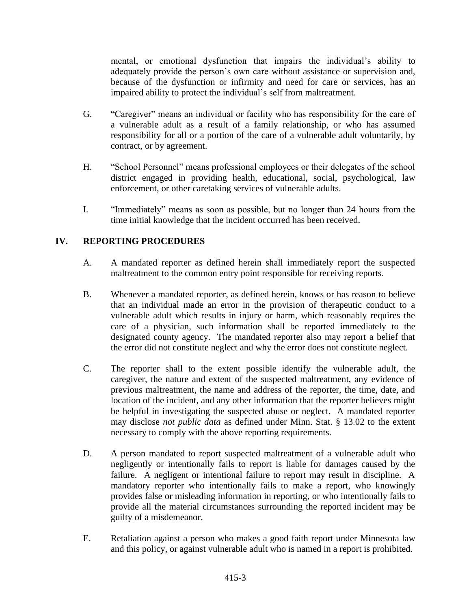mental, or emotional dysfunction that impairs the individual's ability to adequately provide the person's own care without assistance or supervision and, because of the dysfunction or infirmity and need for care or services, has an impaired ability to protect the individual's self from maltreatment.

- G. "Caregiver" means an individual or facility who has responsibility for the care of a vulnerable adult as a result of a family relationship, or who has assumed responsibility for all or a portion of the care of a vulnerable adult voluntarily, by contract, or by agreement.
- H. "School Personnel" means professional employees or their delegates of the school district engaged in providing health, educational, social, psychological, law enforcement, or other caretaking services of vulnerable adults.
- I. "Immediately" means as soon as possible, but no longer than 24 hours from the time initial knowledge that the incident occurred has been received.

# **IV. REPORTING PROCEDURES**

- A. A mandated reporter as defined herein shall immediately report the suspected maltreatment to the common entry point responsible for receiving reports.
- B. Whenever a mandated reporter, as defined herein, knows or has reason to believe that an individual made an error in the provision of therapeutic conduct to a vulnerable adult which results in injury or harm, which reasonably requires the care of a physician, such information shall be reported immediately to the designated county agency. The mandated reporter also may report a belief that the error did not constitute neglect and why the error does not constitute neglect.
- C. The reporter shall to the extent possible identify the vulnerable adult, the caregiver, the nature and extent of the suspected maltreatment, any evidence of previous maltreatment, the name and address of the reporter, the time, date, and location of the incident, and any other information that the reporter believes might be helpful in investigating the suspected abuse or neglect. A mandated reporter may disclose *not public data* as defined under Minn. Stat. § 13.02 to the extent necessary to comply with the above reporting requirements.
- D. A person mandated to report suspected maltreatment of a vulnerable adult who negligently or intentionally fails to report is liable for damages caused by the failure. A negligent or intentional failure to report may result in discipline. A mandatory reporter who intentionally fails to make a report, who knowingly provides false or misleading information in reporting, or who intentionally fails to provide all the material circumstances surrounding the reported incident may be guilty of a misdemeanor.
- E. Retaliation against a person who makes a good faith report under Minnesota law and this policy, or against vulnerable adult who is named in a report is prohibited.